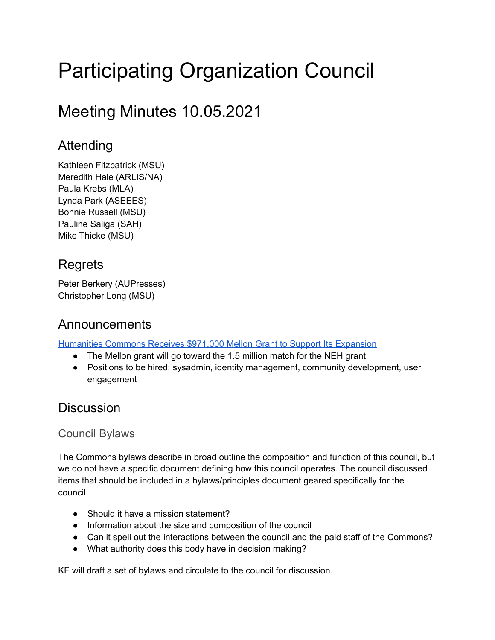# Participating Organization Council

# Meeting Minutes 10.05.2021

# Attending

Kathleen Fitzpatrick (MSU) Meredith Hale (ARLIS/NA) Paula Krebs (MLA) Lynda Park (ASEEES) Bonnie Russell (MSU) Pauline Saliga (SAH) Mike Thicke (MSU)

# **Regrets**

Peter Berkery (AUPresses) Christopher Long (MSU)

## Announcements

[Humanities](https://cal.msu.edu/news/humanities-commons-receives-971000-mellon-grant-to-support-its-expansion/) Commons Receives \$971,000 Mellon Grant to Support Its Expansion

- The Mellon grant will go toward the 1.5 million match for the NEH grant
- Positions to be hired: sysadmin, identity management, community development, user engagement

## **Discussion**

#### Council Bylaws

The Commons bylaws describe in broad outline the composition and function of this council, but we do not have a specific document defining how this council operates. The council discussed items that should be included in a bylaws/principles document geared specifically for the council.

- Should it have a mission statement?
- Information about the size and composition of the council
- Can it spell out the interactions between the council and the paid staff of the Commons?
- What authority does this body have in decision making?

KF will draft a set of bylaws and circulate to the council for discussion.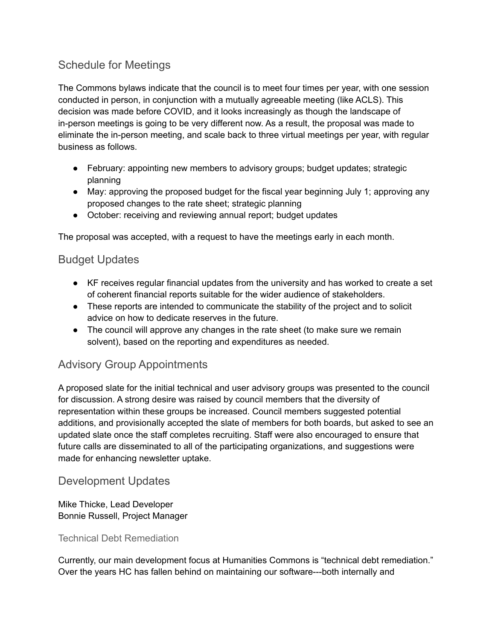#### Schedule for Meetings

The Commons bylaws indicate that the council is to meet four times per year, with one session conducted in person, in conjunction with a mutually agreeable meeting (like ACLS). This decision was made before COVID, and it looks increasingly as though the landscape of in-person meetings is going to be very different now. As a result, the proposal was made to eliminate the in-person meeting, and scale back to three virtual meetings per year, with regular business as follows.

- February: appointing new members to advisory groups; budget updates; strategic planning
- May: approving the proposed budget for the fiscal year beginning July 1; approving any proposed changes to the rate sheet; strategic planning
- October: receiving and reviewing annual report; budget updates

The proposal was accepted, with a request to have the meetings early in each month.

#### Budget Updates

- KF receives regular financial updates from the university and has worked to create a set of coherent financial reports suitable for the wider audience of stakeholders.
- These reports are intended to communicate the stability of the project and to solicit advice on how to dedicate reserves in the future.
- The council will approve any changes in the rate sheet (to make sure we remain solvent), based on the reporting and expenditures as needed.

#### Advisory Group Appointments

A proposed slate for the initial technical and user advisory groups was presented to the council for discussion. A strong desire was raised by council members that the diversity of representation within these groups be increased. Council members suggested potential additions, and provisionally accepted the slate of members for both boards, but asked to see an updated slate once the staff completes recruiting. Staff were also encouraged to ensure that future calls are disseminated to all of the participating organizations, and suggestions were made for enhancing newsletter uptake.

#### Development Updates

#### Mike Thicke, Lead Developer Bonnie Russell, Project Manager

#### Technical Debt Remediation

Currently, our main development focus at Humanities Commons is "technical debt remediation." Over the years HC has fallen behind on maintaining our software---both internally and